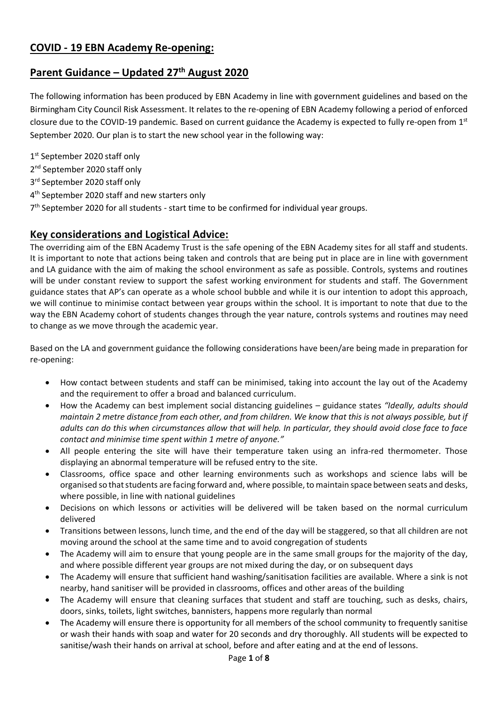# **Parent Guidance – Updated 27th August 2020**

The following information has been produced by EBN Academy in line with government guidelines and based on the Birmingham City Council Risk Assessment. It relates to the re-opening of EBN Academy following a period of enforced closure due to the COVID-19 pandemic. Based on current guidance the Academy is expected to fully re-open from  $1<sup>st</sup>$ September 2020. Our plan is to start the new school year in the following way:

1st September 2020 staff only

- 2<sup>nd</sup> September 2020 staff only
- 3<sup>rd</sup> September 2020 staff only
- 4<sup>th</sup> September 2020 staff and new starters only
- 7<sup>th</sup> September 2020 for all students start time to be confirmed for individual year groups.

# **Key considerations and Logistical Advice:**

The overriding aim of the EBN Academy Trust is the safe opening of the EBN Academy sites for all staff and students. It is important to note that actions being taken and controls that are being put in place are in line with government and LA guidance with the aim of making the school environment as safe as possible. Controls, systems and routines will be under constant review to support the safest working environment for students and staff. The Government guidance states that AP's can operate as a whole school bubble and while it is our intention to adopt this approach, we will continue to minimise contact between year groups within the school. It is important to note that due to the way the EBN Academy cohort of students changes through the year nature, controls systems and routines may need to change as we move through the academic year.

Based on the LA and government guidance the following considerations have been/are being made in preparation for re-opening:

- How contact between students and staff can be minimised, taking into account the lay out of the Academy and the requirement to offer a broad and balanced curriculum.
- How the Academy can best implement social distancing guidelines guidance states *"Ideally, adults should maintain 2 metre distance from each other, and from children. We know that this is not always possible, but if adults can do this when circumstances allow that will help. In particular, they should avoid close face to face contact and minimise time spent within 1 metre of anyone."*
- All people entering the site will have their temperature taken using an infra-red thermometer. Those displaying an abnormal temperature will be refused entry to the site.
- Classrooms, office space and other learning environments such as workshops and science labs will be organised so that students are facing forward and, where possible,to maintain space between seats and desks, where possible, in line with national guidelines
- Decisions on which lessons or activities will be delivered will be taken based on the normal curriculum delivered
- Transitions between lessons, lunch time, and the end of the day will be staggered, so that all children are not moving around the school at the same time and to avoid congregation of students
- The Academy will aim to ensure that young people are in the same small groups for the majority of the day, and where possible different year groups are not mixed during the day, or on subsequent days
- The Academy will ensure that sufficient hand washing/sanitisation facilities are available. Where a sink is not nearby, hand sanitiser will be provided in classrooms, offices and other areas of the building
- The Academy will ensure that cleaning surfaces that student and staff are touching, such as desks, chairs, doors, sinks, toilets, light switches, bannisters, happens more regularly than normal
- The Academy will ensure there is opportunity for all members of the school community to frequently sanitise or wash their hands with soap and water for 20 seconds and dry thoroughly. All students will be expected to sanitise/wash their hands on arrival at school, before and after eating and at the end of lessons.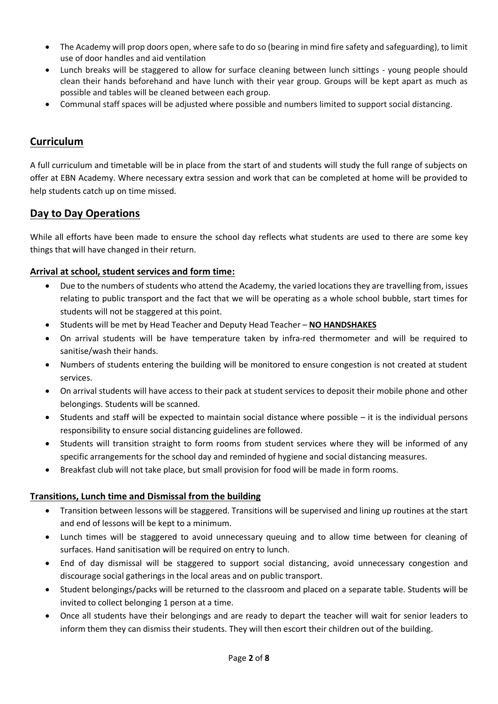- The Academy will prop doors open, where safe to do so (bearing in mind fire safety and safeguarding), to limit use of door handles and aid ventilation
- Lunch breaks will be staggered to allow for surface cleaning between lunch sittings young people should clean their hands beforehand and have lunch with their year group. Groups will be kept apart as much as possible and tables will be cleaned between each group.
- Communal staff spaces will be adjusted where possible and numbers limited to support social distancing.

# **Curriculum**

A full curriculum and timetable will be in place from the start of and students will study the full range of subjects on offer at EBN Academy. Where necessary extra session and work that can be completed at home will be provided to help students catch up on time missed.

## **Day to Day Operations**

While all efforts have been made to ensure the school day reflects what students are used to there are some key things that will have changed in their return.

### **Arrival at school, student services and form time:**

- Due to the numbers of students who attend the Academy, the varied locations they are travelling from, issues relating to public transport and the fact that we will be operating as a whole school bubble, start times for students will not be staggered at this point.
- Students will be met by Head Teacher and Deputy Head Teacher **NO HANDSHAKES**
- On arrival students will be have temperature taken by infra-red thermometer and will be required to sanitise/wash their hands.
- Numbers of students entering the building will be monitored to ensure congestion is not created at student services.
- On arrival students will have access to their pack at student services to deposit their mobile phone and other belongings. Students will be scanned.
- Students and staff will be expected to maintain social distance where possible it is the individual persons responsibility to ensure social distancing guidelines are followed.
- Students will transition straight to form rooms from student services where they will be informed of any specific arrangements for the school day and reminded of hygiene and social distancing measures.
- Breakfast club will not take place, but small provision for food will be made in form rooms.

### **Transitions, Lunch time and Dismissal from the building**

- Transition between lessons will be staggered. Transitions will be supervised and lining up routines at the start and end of lessons will be kept to a minimum.
- Lunch times will be staggered to avoid unnecessary queuing and to allow time between for cleaning of surfaces. Hand sanitisation will be required on entry to lunch.
- End of day dismissal will be staggered to support social distancing, avoid unnecessary congestion and discourage social gatherings in the local areas and on public transport.
- Student belongings/packs will be returned to the classroom and placed on a separate table. Students will be invited to collect belonging 1 person at a time.
- Once all students have their belongings and are ready to depart the teacher will wait for senior leaders to inform them they can dismiss their students. They will then escort their children out of the building.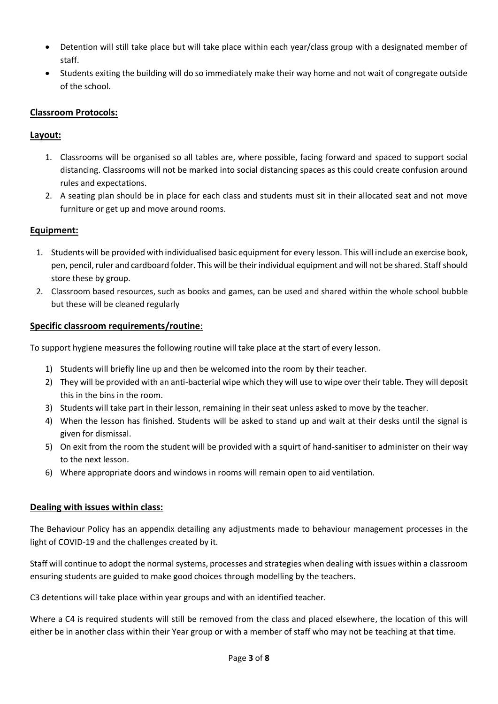- Detention will still take place but will take place within each year/class group with a designated member of staff.
- Students exiting the building will do so immediately make their way home and not wait of congregate outside of the school.

### **Classroom Protocols:**

#### **Layout:**

- 1. Classrooms will be organised so all tables are, where possible, facing forward and spaced to support social distancing. Classrooms will not be marked into social distancing spaces as this could create confusion around rules and expectations.
- 2. A seating plan should be in place for each class and students must sit in their allocated seat and not move furniture or get up and move around rooms.

#### **Equipment:**

- 1. Students will be provided with individualised basic equipment for every lesson. This will include an exercise book, pen, pencil, ruler and cardboard folder. This will be their individual equipment and will not be shared. Staff should store these by group.
- 2. Classroom based resources, such as books and games, can be used and shared within the whole school bubble but these will be cleaned regularly

#### **Specific classroom requirements/routine**:

To support hygiene measures the following routine will take place at the start of every lesson.

- 1) Students will briefly line up and then be welcomed into the room by their teacher.
- 2) They will be provided with an anti-bacterial wipe which they will use to wipe over their table. They will deposit this in the bins in the room.
- 3) Students will take part in their lesson, remaining in their seat unless asked to move by the teacher.
- 4) When the lesson has finished. Students will be asked to stand up and wait at their desks until the signal is given for dismissal.
- 5) On exit from the room the student will be provided with a squirt of hand-sanitiser to administer on their way to the next lesson.
- 6) Where appropriate doors and windows in rooms will remain open to aid ventilation.

#### **Dealing with issues within class:**

The Behaviour Policy has an appendix detailing any adjustments made to behaviour management processes in the light of COVID-19 and the challenges created by it.

Staff will continue to adopt the normal systems, processes and strategies when dealing with issues within a classroom ensuring students are guided to make good choices through modelling by the teachers.

C3 detentions will take place within year groups and with an identified teacher.

Where a C4 is required students will still be removed from the class and placed elsewhere, the location of this will either be in another class within their Year group or with a member of staff who may not be teaching at that time.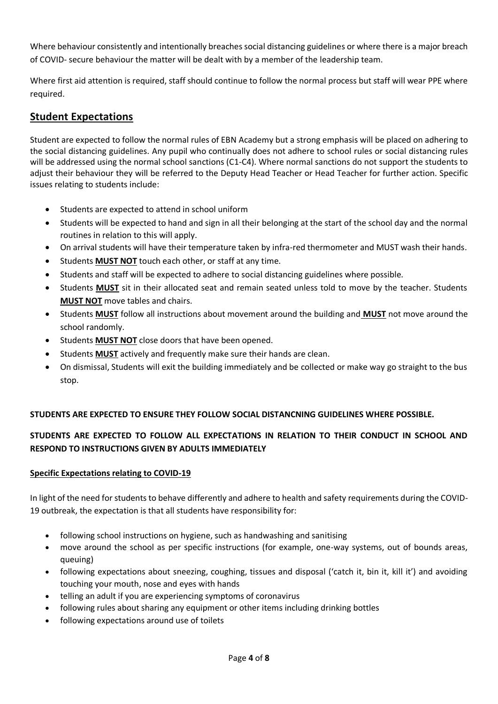Where behaviour consistently and intentionally breaches social distancing guidelines or where there is a major breach of COVID- secure behaviour the matter will be dealt with by a member of the leadership team.

Where first aid attention is required, staff should continue to follow the normal process but staff will wear PPE where required.

# **Student Expectations**

Student are expected to follow the normal rules of EBN Academy but a strong emphasis will be placed on adhering to the social distancing guidelines. Any pupil who continually does not adhere to school rules or social distancing rules will be addressed using the normal school sanctions (C1-C4). Where normal sanctions do not support the students to adjust their behaviour they will be referred to the Deputy Head Teacher or Head Teacher for further action. Specific issues relating to students include:

- Students are expected to attend in school uniform
- Students will be expected to hand and sign in all their belonging at the start of the school day and the normal routines in relation to this will apply.
- On arrival students will have their temperature taken by infra-red thermometer and MUST wash their hands.
- Students **MUST NOT** touch each other, or staff at any time.
- Students and staff will be expected to adhere to social distancing guidelines where possible.
- Students **MUST** sit in their allocated seat and remain seated unless told to move by the teacher. Students **MUST NOT** move tables and chairs.
- Students **MUST** follow all instructions about movement around the building and **MUST** not move around the school randomly.
- **•** Students **MUST NOT** close doors that have been opened.
- Students **MUST** actively and frequently make sure their hands are clean.
- On dismissal, Students will exit the building immediately and be collected or make way go straight to the bus stop.

### **STUDENTS ARE EXPECTED TO ENSURE THEY FOLLOW SOCIAL DISTANCNING GUIDELINES WHERE POSSIBLE.**

## **STUDENTS ARE EXPECTED TO FOLLOW ALL EXPECTATIONS IN RELATION TO THEIR CONDUCT IN SCHOOL AND RESPOND TO INSTRUCTIONS GIVEN BY ADULTS IMMEDIATELY**

#### **Specific Expectations relating to COVID-19**

In light of the need for students to behave differently and adhere to health and safety requirements during the COVID-19 outbreak, the expectation is that all students have responsibility for:

- following school instructions on hygiene, such as handwashing and sanitising
- move around the school as per specific instructions (for example, one-way systems, out of bounds areas, queuing)
- following expectations about sneezing, coughing, tissues and disposal ('catch it, bin it, kill it') and avoiding touching your mouth, nose and eyes with hands
- telling an adult if you are experiencing symptoms of coronavirus
- following rules about sharing any equipment or other items including drinking bottles
- following expectations around use of toilets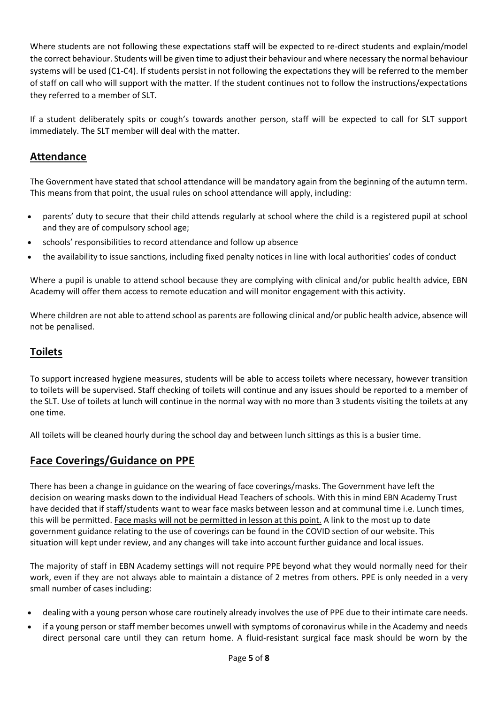Where students are not following these expectations staff will be expected to re-direct students and explain/model the correct behaviour. Students will be given time to adjust their behaviour and where necessary the normal behaviour systems will be used (C1-C4). If students persist in not following the expectations they will be referred to the member of staff on call who will support with the matter. If the student continues not to follow the instructions/expectations they referred to a member of SLT.

If a student deliberately spits or cough's towards another person, staff will be expected to call for SLT support immediately. The SLT member will deal with the matter.

# **Attendance**

The Government have stated that school attendance will be mandatory again from the beginning of the autumn term. This means from that point, the usual rules on school attendance will apply, including:

- parents' duty to secure that their child attends regularly at school where the child is a registered pupil at school and they are of compulsory school age;
- schools' responsibilities to record attendance and follow up absence
- the availability to issue sanctions, including fixed penalty notices in line with local authorities' codes of conduct

Where a pupil is unable to attend school because they are complying with clinical and/or public health advice, EBN Academy will offer them access to remote education and will monitor engagement with this activity.

Where children are not able to attend school as parents are following clinical and/or public health advice, absence will not be penalised.

## **Toilets**

To support increased hygiene measures, students will be able to access toilets where necessary, however transition to toilets will be supervised. Staff checking of toilets will continue and any issues should be reported to a member of the SLT. Use of toilets at lunch will continue in the normal way with no more than 3 students visiting the toilets at any one time.

All toilets will be cleaned hourly during the school day and between lunch sittings as this is a busier time.

## **Face Coverings/Guidance on PPE**

There has been a change in guidance on the wearing of face coverings/masks. The Government have left the decision on wearing masks down to the individual Head Teachers of schools. With this in mind EBN Academy Trust have decided that if staff/students want to wear face masks between lesson and at communal time i.e. Lunch times, this will be permitted. Face masks will not be permitted in lesson at this point. A link to the most up to date government guidance relating to the use of coverings can be found in the COVID section of our website. This situation will kept under review, and any changes will take into account further guidance and local issues.

The majority of staff in EBN Academy settings will not require PPE beyond what they would normally need for their work, even if they are not always able to maintain a distance of 2 metres from others. PPE is only needed in a very small number of cases including:

- dealing with a young person whose care routinely already involves the use of PPE due to their intimate care needs.
- if a young person or staff member becomes unwell with symptoms of coronavirus while in the Academy and needs direct personal care until they can return home. A fluid-resistant surgical face mask should be worn by the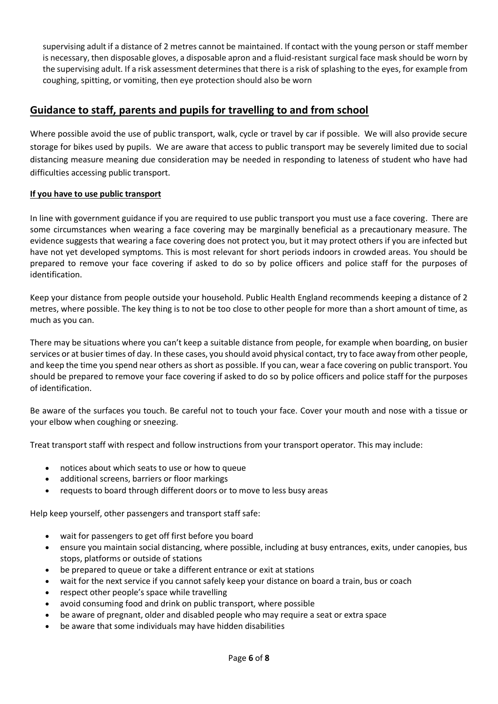supervising adult if a distance of 2 metres cannot be maintained. If contact with the young person or staff member is necessary, then disposable gloves, a disposable apron and a fluid-resistant surgical face mask should be worn by the supervising adult. If a risk assessment determines that there is a risk of splashing to the eyes, for example from coughing, spitting, or vomiting, then eye protection should also be worn

# **Guidance to staff, parents and pupils for travelling to and from school**

Where possible avoid the use of public transport, walk, cycle or travel by car if possible. We will also provide secure storage for bikes used by pupils. We are aware that access to public transport may be severely limited due to social distancing measure meaning due consideration may be needed in responding to lateness of student who have had difficulties accessing public transport.

#### **If you have to use public transport**

In line with government guidance if you are required to use public transport you must use a face covering. There are some circumstances when wearing a face covering may be marginally beneficial as a precautionary measure. The evidence suggests that wearing a face covering does not protect you, but it may protect others if you are infected but have not yet developed symptoms. This is most relevant for short periods indoors in crowded areas. You should be prepared to remove your face covering if asked to do so by police officers and police staff for the purposes of identification.

Keep your distance from people outside your household. Public Health England recommends [keeping a distance of 2](https://www.gov.uk/government/publications/staying-alert-and-safe-social-distancing/staying-alert-and-safe-social-distancing)  [metres, where possible.](https://www.gov.uk/government/publications/staying-alert-and-safe-social-distancing/staying-alert-and-safe-social-distancing) The key thing is to not be too close to other people for more than a short amount of time, as much as you can.

There may be situations where you can't keep a suitable distance from people, for example when boarding, on busier services or at busier times of day. In these cases, you should avoid physical contact, try to face away from other people, and keep the time you spend near others as short as possible. If you can, wear a face covering on public transport. You should be prepared to remove your face covering if asked to do so by police officers and police staff for the purposes of identification.

Be aware of the surfaces you touch. Be careful not to touch your face. Cover your mouth and nose with a tissue or your elbow when coughing or sneezing.

Treat transport staff with respect and follow instructions from your transport operator. This may include:

- notices about which seats to use or how to queue
- additional screens, barriers or floor markings
- requests to board through different doors or to move to less busy areas

Help keep yourself, other passengers and transport staff safe:

- wait for passengers to get off first before you board
- ensure you maintain social distancing, where possible, including at busy entrances, exits, under canopies, bus stops, platforms or outside of stations
- be prepared to queue or take a different entrance or exit at stations
- wait for the next service if you cannot safely keep your distance on board a train, bus or coach
- respect other people's space while travelling
- avoid consuming food and drink on public transport, where possible
- be aware of pregnant, older and disabled people who may require a seat or extra space
- be aware that some individuals may have hidden disabilities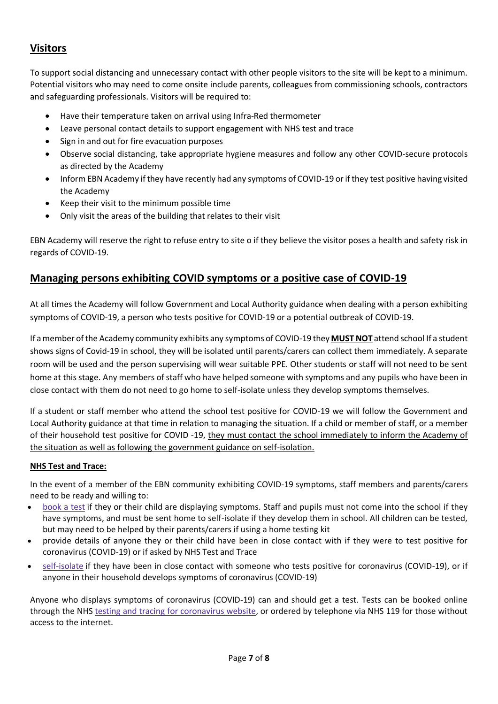# **Visitors**

To support social distancing and unnecessary contact with other people visitors to the site will be kept to a minimum. Potential visitors who may need to come onsite include parents, colleagues from commissioning schools, contractors and safeguarding professionals. Visitors will be required to:

- Have their temperature taken on arrival using Infra-Red thermometer
- Leave personal contact details to support engagement with NHS test and trace
- Sign in and out for fire evacuation purposes
- Observe social distancing, take appropriate hygiene measures and follow any other COVID-secure protocols as directed by the Academy
- Inform EBN Academy if they have recently had any symptoms of COVID-19 or if they test positive having visited the Academy
- Keep their visit to the minimum possible time
- Only visit the areas of the building that relates to their visit

EBN Academy will reserve the right to refuse entry to site o if they believe the visitor poses a health and safety risk in regards of COVID-19.

## **Managing persons exhibiting COVID symptoms or a positive case of COVID-19**

At all times the Academy will follow Government and Local Authority guidance when dealing with a person exhibiting symptoms of COVID-19, a person who tests positive for COVID-19 or a potential outbreak of COVID-19.

If a member of the Academy community exhibits any symptoms of COVID-19 they **MUST NOT** attend school If a student shows signs of Covid-19 in school, they will be isolated until parents/carers can collect them immediately. A separate room will be used and the person supervising will wear suitable PPE. Other students or staff will not need to be sent home at this stage. Any members of staff who have helped someone with symptoms and any pupils who have been in close contact with them do not need to go home to self-isolate unless they develop symptoms themselves.

If a student or staff member who attend the school test positive for COVID-19 we will follow the Government and Local Authority guidance at that time in relation to managing the situation. If a child or member of staff, or a member of their household test positive for COVID -19, they must contact the school immediately to inform the Academy of the situation as well as following the government guidance on self-isolation.

#### **NHS Test and Trace:**

In the event of a member of the EBN community exhibiting COVID-19 symptoms, staff members and parents/carers need to be ready and willing to:

- [book](https://www.gov.uk/guidance/coronavirus-covid-19-getting-tested) a test if they or their child are displaying symptoms. Staff and pupils must not come into the school if they have symptoms, and must be sent home to self-isolate if they develop them in school. All children can be tested, but may need to be helped by their parents/carers if using a home testing kit
- provide details of anyone they or their child have been in close contact with if they were to test positive for coronavirus (COVID-19) or if asked by NHS Test and Trace
- [self-isolate](https://www.gov.uk/government/publications/covid-19-stay-at-home-guidance/stay-at-home-guidance-for-households-with-possible-coronavirus-covid-19-infection) if they have been in close contact with someone who tests positive for coronavirus (COVID-19), or if anyone in their household develops symptoms of coronavirus (COVID-19)

Anyone who displays symptoms of coronavirus (COVID-19) can and should get a test. Tests can be booked online through the NHS testing and tracing for [coronavirus](https://www.nhs.uk/conditions/coronavirus-covid-19/testing-for-coronavirus/) website, or ordered by telephone via NHS 119 for those without access to the internet.